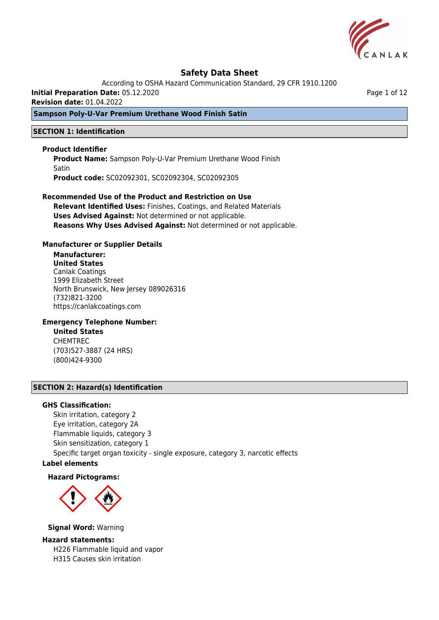

According to OSHA Hazard Communication Standard, 29 CFR 1910.1200

**Initial Preparation Date:** 05.12.2020

**Revision date:** 01.04.2022

### **Sampson Poly-U-Var Premium Urethane Wood Finish Satin**

#### **SECTION 1: Identification**

#### **Product Identifier**

**Product Name:** Sampson Poly-U-Var Premium Urethane Wood Finish **Satin Product code:** SC02092301, SC02092304, SC02092305

### **Recommended Use of the Product and Restriction on Use Relevant Identified Uses:** Finishes, Coatings, and Related Materials **Uses Advised Against:** Not determined or not applicable.

**Reasons Why Uses Advised Against:** Not determined or not applicable.

### **Manufacturer or Supplier Details**

# **Manufacturer:**

**United States** Canlak Coatings 1999 Elizabeth Street North Brunswick, New Jersey 089026316 (732)821-3200 https://canlakcoatings.com

### **Emergency Telephone Number:**

**United States** CHEMTREC (703)527-3887 (24 HRS) (800)424-9300

#### **SECTION 2: Hazard(s) Identification**

#### **GHS Classification:**

Skin irritation, category 2 Eye irritation, category 2A Flammable liquids, category 3 Skin sensitization, category 1 Specific target organ toxicity - single exposure, category 3, narcotic effects

## **Label elements**

#### **Hazard Pictograms:**



**Signal Word:** Warning

#### **Hazard statements:**

H226 Flammable liquid and vapor H315 Causes skin irritation

Page 1 of 12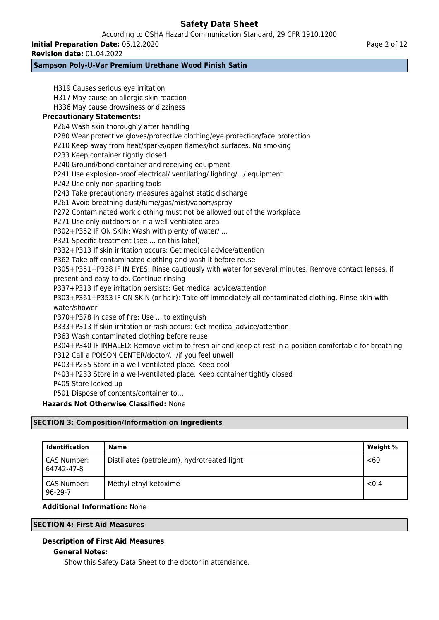According to OSHA Hazard Communication Standard, 29 CFR 1910.1200

**Initial Preparation Date:** 05.12.2020

**Revision date:** 01.04.2022

### **Sampson Poly-U-Var Premium Urethane Wood Finish Satin**

H319 Causes serious eye irritation H317 May cause an allergic skin reaction H336 May cause drowsiness or dizziness **Precautionary Statements:** P264 Wash skin thoroughly after handling P280 Wear protective gloves/protective clothing/eye protection/face protection P210 Keep away from heat/sparks/open flames/hot surfaces. No smoking P233 Keep container tightly closed P240 Ground/bond container and receiving equipment P241 Use explosion-proof electrical/ ventilating/ lighting/.../ equipment P242 Use only non-sparking tools P243 Take precautionary measures against static discharge P261 Avoid breathing dust/fume/gas/mist/vapors/spray P272 Contaminated work clothing must not be allowed out of the workplace P271 Use only outdoors or in a well-ventilated area P302+P352 IF ON SKIN: Wash with plenty of water/ … P321 Specific treatment (see ... on this label) P332+P313 If skin irritation occurs: Get medical advice/attention P362 Take off contaminated clothing and wash it before reuse P305+P351+P338 IF IN EYES: Rinse cautiously with water for several minutes. Remove contact lenses, if present and easy to do. Continue rinsing P337+P313 If eye irritation persists: Get medical advice/attention P303+P361+P353 IF ON SKIN (or hair): Take off immediately all contaminated clothing. Rinse skin with water/shower P370+P378 In case of fire: Use ... to extinguish P333+P313 If skin irritation or rash occurs: Get medical advice/attention P363 Wash contaminated clothing before reuse P304+P340 IF INHALED: Remove victim to fresh air and keep at rest in a position comfortable for breathing P312 Call a POISON CENTER/doctor/.../if you feel unwell P403+P235 Store in a well-ventilated place. Keep cool P403+P233 Store in a well-ventilated place. Keep container tightly closed P405 Store locked up P501 Dispose of contents/container to… **Hazards Not Otherwise Classified:** None

# **SECTION 3: Composition/Information on Ingredients**

| <b>Identification</b>        | Name                                        | Weight % |
|------------------------------|---------------------------------------------|----------|
| CAS Number:<br>64742-47-8    | Distillates (petroleum), hydrotreated light | <60      |
| CAS Number:<br>$96 - 29 - 7$ | Methyl ethyl ketoxime                       | < 0.4    |

### **Additional Information:** None

### **SECTION 4: First Aid Measures**

### **Description of First Aid Measures**

### **General Notes:**

Show this Safety Data Sheet to the doctor in attendance.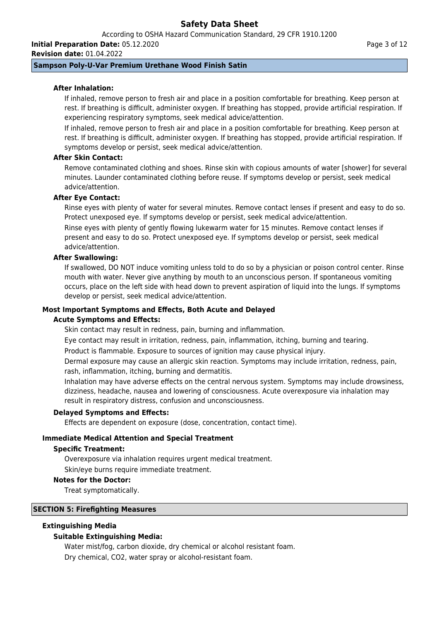According to OSHA Hazard Communication Standard, 29 CFR 1910.1200

**Initial Preparation Date:** 05.12.2020 **Revision date:** 01.04.2022

### **Sampson Poly-U-Var Premium Urethane Wood Finish Satin**

### **After Inhalation:**

If inhaled, remove person to fresh air and place in a position comfortable for breathing. Keep person at rest. If breathing is difficult, administer oxygen. If breathing has stopped, provide artificial respiration. If experiencing respiratory symptoms, seek medical advice/attention.

If inhaled, remove person to fresh air and place in a position comfortable for breathing. Keep person at rest. If breathing is difficult, administer oxygen. If breathing has stopped, provide artificial respiration. If symptoms develop or persist, seek medical advice/attention.

### **After Skin Contact:**

Remove contaminated clothing and shoes. Rinse skin with copious amounts of water [shower] for several minutes. Launder contaminated clothing before reuse. If symptoms develop or persist, seek medical advice/attention.

### **After Eye Contact:**

Rinse eyes with plenty of water for several minutes. Remove contact lenses if present and easy to do so. Protect unexposed eye. If symptoms develop or persist, seek medical advice/attention. Rinse eyes with plenty of gently flowing lukewarm water for 15 minutes. Remove contact lenses if

present and easy to do so. Protect unexposed eye. If symptoms develop or persist, seek medical advice/attention.

#### **After Swallowing:**

If swallowed, DO NOT induce vomiting unless told to do so by a physician or poison control center. Rinse mouth with water. Never give anything by mouth to an unconscious person. If spontaneous vomiting occurs, place on the left side with head down to prevent aspiration of liquid into the lungs. If symptoms develop or persist, seek medical advice/attention.

### **Most Important Symptoms and Effects, Both Acute and Delayed**

#### **Acute Symptoms and Effects:**

Skin contact may result in redness, pain, burning and inflammation.

Eye contact may result in irritation, redness, pain, inflammation, itching, burning and tearing.

Product is flammable. Exposure to sources of ignition may cause physical injury.

Dermal exposure may cause an allergic skin reaction. Symptoms may include irritation, redness, pain, rash, inflammation, itching, burning and dermatitis.

Inhalation may have adverse effects on the central nervous system. Symptoms may include drowsiness, dizziness, headache, nausea and lowering of consciousness. Acute overexposure via inhalation may result in respiratory distress, confusion and unconsciousness.

#### **Delayed Symptoms and Effects:**

Effects are dependent on exposure (dose, concentration, contact time).

### **Immediate Medical Attention and Special Treatment**

#### **Specific Treatment:**

Overexposure via inhalation requires urgent medical treatment.

Skin/eye burns require immediate treatment.

#### **Notes for the Doctor:**

Treat symptomatically.

#### **SECTION 5: Firefighting Measures**

### **Extinguishing Media**

### **Suitable Extinguishing Media:**

Water mist/fog, carbon dioxide, dry chemical or alcohol resistant foam. Dry chemical, CO2, water spray or alcohol-resistant foam.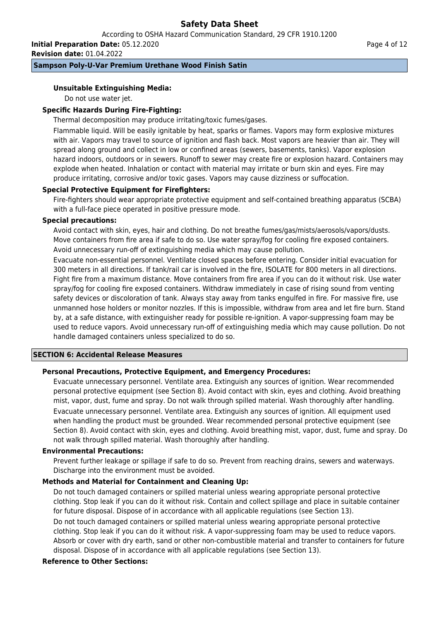According to OSHA Hazard Communication Standard, 29 CFR 1910.1200

**Initial Preparation Date:** 05.12.2020 **Revision date:** 01.04.2022

### **Sampson Poly-U-Var Premium Urethane Wood Finish Satin**

### **Unsuitable Extinguishing Media:**

Do not use water jet.

### **Specific Hazards During Fire-Fighting:**

Thermal decomposition may produce irritating/toxic fumes/gases.

Flammable liquid. Will be easily ignitable by heat, sparks or flames. Vapors may form explosive mixtures with air. Vapors may travel to source of ignition and flash back. Most vapors are heavier than air. They will spread along ground and collect in low or confined areas (sewers, basements, tanks). Vapor explosion hazard indoors, outdoors or in sewers. Runoff to sewer may create fire or explosion hazard. Containers may explode when heated. Inhalation or contact with material may irritate or burn skin and eyes. Fire may produce irritating, corrosive and/or toxic gases. Vapors may cause dizziness or suffocation.

#### **Special Protective Equipment for Firefighters:**

Fire-fighters should wear appropriate protective equipment and self-contained breathing apparatus (SCBA) with a full-face piece operated in positive pressure mode.

#### **Special precautions:**

Avoid contact with skin, eyes, hair and clothing. Do not breathe fumes/gas/mists/aerosols/vapors/dusts. Move containers from fire area if safe to do so. Use water spray/fog for cooling fire exposed containers. Avoid unnecessary run-off of extinguishing media which may cause pollution.

Evacuate non-essential personnel. Ventilate closed spaces before entering. Consider initial evacuation for 300 meters in all directions. If tank/rail car is involved in the fire, ISOLATE for 800 meters in all directions. Fight fire from a maximum distance. Move containers from fire area if you can do it without risk. Use water spray/fog for cooling fire exposed containers. Withdraw immediately in case of rising sound from venting safety devices or discoloration of tank. Always stay away from tanks engulfed in fire. For massive fire, use unmanned hose holders or monitor nozzles. If this is impossible, withdraw from area and let fire burn. Stand by, at a safe distance, with extinguisher ready for possible re-ignition. A vapor-suppressing foam may be used to reduce vapors. Avoid unnecessary run-off of extinguishing media which may cause pollution. Do not handle damaged containers unless specialized to do so.

#### **SECTION 6: Accidental Release Measures**

### **Personal Precautions, Protective Equipment, and Emergency Procedures:**

Evacuate unnecessary personnel. Ventilate area. Extinguish any sources of ignition. Wear recommended personal protective equipment (see Section 8). Avoid contact with skin, eyes and clothing. Avoid breathing mist, vapor, dust, fume and spray. Do not walk through spilled material. Wash thoroughly after handling. Evacuate unnecessary personnel. Ventilate area. Extinguish any sources of ignition. All equipment used when handling the product must be grounded. Wear recommended personal protective equipment (see Section 8). Avoid contact with skin, eyes and clothing. Avoid breathing mist, vapor, dust, fume and spray. Do not walk through spilled material. Wash thoroughly after handling.

#### **Environmental Precautions:**

Prevent further leakage or spillage if safe to do so. Prevent from reaching drains, sewers and waterways. Discharge into the environment must be avoided.

### **Methods and Material for Containment and Cleaning Up:**

Do not touch damaged containers or spilled material unless wearing appropriate personal protective clothing. Stop leak if you can do it without risk. Contain and collect spillage and place in suitable container for future disposal. Dispose of in accordance with all applicable regulations (see Section 13).

Do not touch damaged containers or spilled material unless wearing appropriate personal protective clothing. Stop leak if you can do it without risk. A vapor-suppressing foam may be used to reduce vapors. Absorb or cover with dry earth, sand or other non-combustible material and transfer to containers for future disposal. Dispose of in accordance with all applicable regulations (see Section 13).

### **Reference to Other Sections:**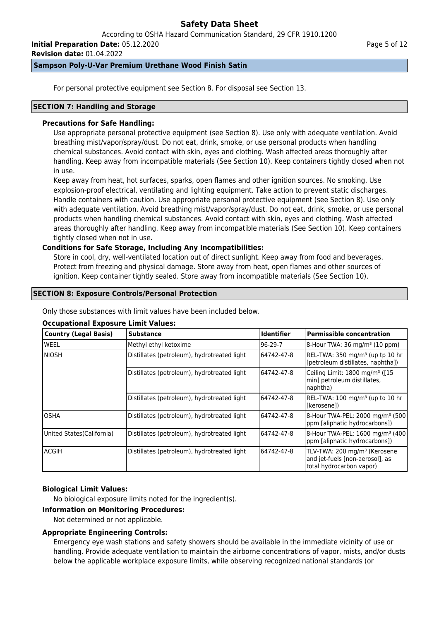According to OSHA Hazard Communication Standard, 29 CFR 1910.1200

**Initial Preparation Date:** 05.12.2020

**Revision date:** 01.04.2022

### **Sampson Poly-U-Var Premium Urethane Wood Finish Satin**

For personal protective equipment see Section 8. For disposal see Section 13.

#### **SECTION 7: Handling and Storage**

### **Precautions for Safe Handling:**

Use appropriate personal protective equipment (see Section 8). Use only with adequate ventilation. Avoid breathing mist/vapor/spray/dust. Do not eat, drink, smoke, or use personal products when handling chemical substances. Avoid contact with skin, eyes and clothing. Wash affected areas thoroughly after handling. Keep away from incompatible materials (See Section 10). Keep containers tightly closed when not in use.

Keep away from heat, hot surfaces, sparks, open flames and other ignition sources. No smoking. Use explosion-proof electrical, ventilating and lighting equipment. Take action to prevent static discharges. Handle containers with caution. Use appropriate personal protective equipment (see Section 8). Use only with adequate ventilation. Avoid breathing mist/vapor/spray/dust. Do not eat, drink, smoke, or use personal products when handling chemical substances. Avoid contact with skin, eyes and clothing. Wash affected areas thoroughly after handling. Keep away from incompatible materials (See Section 10). Keep containers tightly closed when not in use.

### **Conditions for Safe Storage, Including Any Incompatibilities:**

Store in cool, dry, well-ventilated location out of direct sunlight. Keep away from food and beverages. Protect from freezing and physical damage. Store away from heat, open flames and other sources of ignition. Keep container tightly sealed. Store away from incompatible materials (See Section 10).

### **SECTION 8: Exposure Controls/Personal Protection**

Only those substances with limit values have been included below.

### **Occupational Exposure Limit Values:**

| Country (Legal Basis)      | <b>Substance</b>                            | <b>Identifier</b> | <b>Permissible concentration</b>                                                                        |
|----------------------------|---------------------------------------------|-------------------|---------------------------------------------------------------------------------------------------------|
| lweel                      | Methyl ethyl ketoxime                       | $96-29-7$         | 8-Hour TWA: 36 mg/m <sup>3</sup> (10 ppm)                                                               |
| Iniosh                     | Distillates (petroleum), hydrotreated light | 64742-47-8        | REL-TWA: 350 mg/m <sup>3</sup> (up tp 10 hr<br>[petroleum distillates, naphtha])                        |
|                            | Distillates (petroleum), hydrotreated light | 64742-47-8        | Ceiling Limit: 1800 mg/m <sup>3</sup> ([15<br>min] petroleum distillates,<br>naphtha)                   |
|                            | Distillates (petroleum), hydrotreated light | 64742-47-8        | REL-TWA: 100 mg/m <sup>3</sup> (up to 10 hr<br>l[kerosene])                                             |
| IOSHA                      | Distillates (petroleum), hydrotreated light | 64742-47-8        | 8-Hour TWA-PEL: 2000 mg/m <sup>3</sup> (500)<br>ppm [aliphatic hydrocarbons])                           |
| United States (California) | Distillates (petroleum), hydrotreated light | 64742-47-8        | 8-Hour TWA-PEL: 1600 mg/m <sup>3</sup> (400<br>ppm [aliphatic hydrocarbons])                            |
| lacgih                     | Distillates (petroleum), hydrotreated light | 64742-47-8        | TLV-TWA: 200 mg/m <sup>3</sup> (Kerosene<br>and jet-fuels [non-aerosol], as<br>total hydrocarbon vapor) |

### **Biological Limit Values:**

No biological exposure limits noted for the ingredient(s).

#### **Information on Monitoring Procedures:**

Not determined or not applicable.

### **Appropriate Engineering Controls:**

Emergency eye wash stations and safety showers should be available in the immediate vicinity of use or handling. Provide adequate ventilation to maintain the airborne concentrations of vapor, mists, and/or dusts below the applicable workplace exposure limits, while observing recognized national standards (or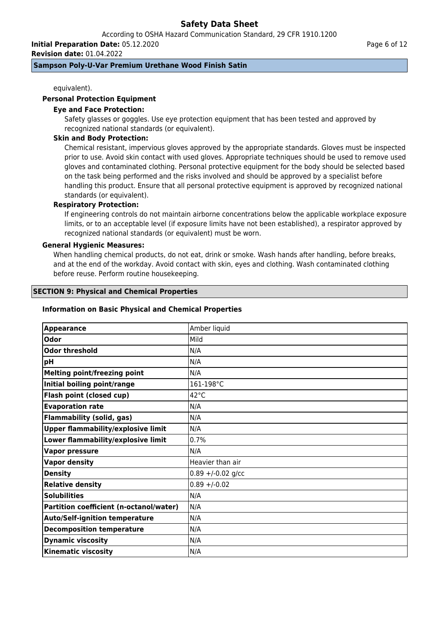According to OSHA Hazard Communication Standard, 29 CFR 1910.1200

**Initial Preparation Date:** 05.12.2020

**Revision date:** 01.04.2022

### **Sampson Poly-U-Var Premium Urethane Wood Finish Satin**

equivalent).

#### **Personal Protection Equipment**

#### **Eye and Face Protection:**

Safety glasses or goggles. Use eye protection equipment that has been tested and approved by recognized national standards (or equivalent).

#### **Skin and Body Protection:**

Chemical resistant, impervious gloves approved by the appropriate standards. Gloves must be inspected prior to use. Avoid skin contact with used gloves. Appropriate techniques should be used to remove used gloves and contaminated clothing. Personal protective equipment for the body should be selected based on the task being performed and the risks involved and should be approved by a specialist before handling this product. Ensure that all personal protective equipment is approved by recognized national standards (or equivalent).

### **Respiratory Protection:**

If engineering controls do not maintain airborne concentrations below the applicable workplace exposure limits, or to an acceptable level (if exposure limits have not been established), a respirator approved by recognized national standards (or equivalent) must be worn.

#### **General Hygienic Measures:**

When handling chemical products, do not eat, drink or smoke. Wash hands after handling, before breaks, and at the end of the workday. Avoid contact with skin, eyes and clothing. Wash contaminated clothing before reuse. Perform routine housekeeping.

#### **SECTION 9: Physical and Chemical Properties**

#### **Information on Basic Physical and Chemical Properties**

| <b>Appearance</b>                         | Amber liquid          |
|-------------------------------------------|-----------------------|
| Odor                                      | <b>Mild</b>           |
| <b>Odor threshold</b>                     | N/A                   |
| pH                                        | N/A                   |
| <b>Melting point/freezing point</b>       | N/A                   |
| Initial boiling point/range               | 161-198°C             |
| Flash point (closed cup)                  | $42^{\circ}$ C        |
| <b>Evaporation rate</b>                   | N/A                   |
| <b>Flammability (solid, gas)</b>          | N/A                   |
| <b>Upper flammability/explosive limit</b> | N/A                   |
| Lower flammability/explosive limit        | 0.7%                  |
| <b>Vapor pressure</b>                     | N/A                   |
| <b>Vapor density</b>                      | Heavier than air      |
| <b>Density</b>                            | $0.89 + (-0.02)$ g/cc |
| <b>Relative density</b>                   | $0.89 + (-0.02)$      |
| <b>Solubilities</b>                       | N/A                   |
| Partition coefficient (n-octanol/water)   | N/A                   |
| <b>Auto/Self-ignition temperature</b>     | N/A                   |
| <b>Decomposition temperature</b>          | N/A                   |
| <b>Dynamic viscosity</b>                  | N/A                   |
| <b>Kinematic viscosity</b>                | N/A                   |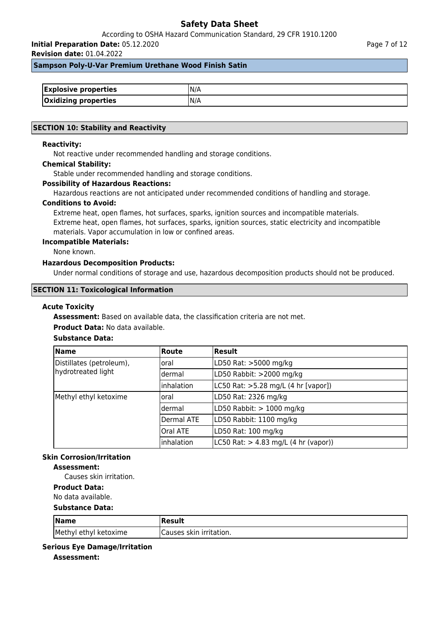According to OSHA Hazard Communication Standard, 29 CFR 1910.1200

**Initial Preparation Date:** 05.12.2020

**Revision date:** 01.04.2022

Page 7 of 12

#### **Sampson Poly-U-Var Premium Urethane Wood Finish Satin**

| <b>Explosive properties</b> |     |
|-----------------------------|-----|
| <b>Oxidizing properties</b> | N/A |

#### **SECTION 10: Stability and Reactivity**

#### **Reactivity:**

Not reactive under recommended handling and storage conditions.

#### **Chemical Stability:**

Stable under recommended handling and storage conditions.

#### **Possibility of Hazardous Reactions:**

Hazardous reactions are not anticipated under recommended conditions of handling and storage.

#### **Conditions to Avoid:**

Extreme heat, open flames, hot surfaces, sparks, ignition sources and incompatible materials. Extreme heat, open flames, hot surfaces, sparks, ignition sources, static electricity and incompatible materials. Vapor accumulation in low or confined areas.

#### **Incompatible Materials:**

None known.

### **Hazardous Decomposition Products:**

Under normal conditions of storage and use, hazardous decomposition products should not be produced.

#### **SECTION 11: Toxicological Information**

#### **Acute Toxicity**

**Assessment:** Based on available data, the classification criteria are not met.

#### **Product Data:** No data available.

### **Substance Data:**

| <b>Name</b>              | <b>Route</b>    | Result                                                   |
|--------------------------|-----------------|----------------------------------------------------------|
| Distillates (petroleum), | loral           | LD50 Rat: >5000 mg/kg                                    |
| hydrotreated light       | ldermal         | LD50 Rabbit: >2000 mg/kg                                 |
|                          | inhalation      | LC50 Rat: >5.28 mg/L (4 hr [vapor])                      |
| Methyl ethyl ketoxime    | loral           | LD50 Rat: 2326 mg/kg                                     |
|                          | ldermal         | LD50 Rabbit: $> 1000$ mg/kg                              |
|                          | Dermal ATE      | LD50 Rabbit: 1100 mg/kg                                  |
|                          | <b>Oral ATE</b> | LD50 Rat: 100 mg/kg                                      |
|                          | inhalation      | $ L C50 \text{ Rat:} > 4.83 \text{ mg/L}$ (4 hr (vapor)) |

## **Skin Corrosion/Irritation**

### **Assessment:**

Causes skin irritation.

**Product Data:**

# No data available.

#### **Substance Data:**

| $\sqrt{\mathsf{Name}}$ | Result                   |
|------------------------|--------------------------|
| Methyl ethyl ketoxime  | ICauses skin irritation. |

#### **Serious Eye Damage/Irritation**

**Assessment:**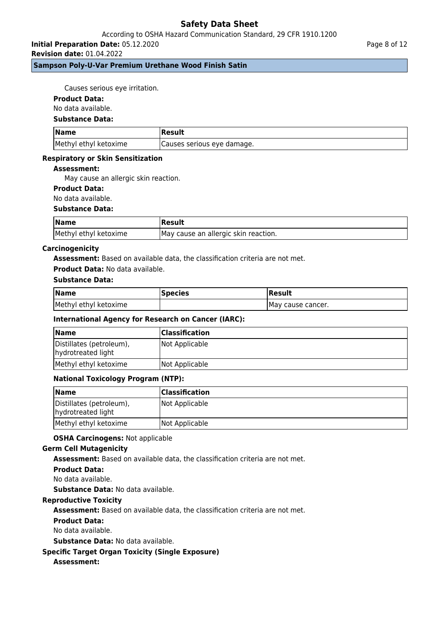**Initial Preparation Date:** 05.12.2020

**Revision date:** 01.04.2022

### **Sampson Poly-U-Var Premium Urethane Wood Finish Satin**

Causes serious eye irritation.

#### **Product Data:**

No data available.

#### **Substance Data:**

| <b>Name</b>           | Result                      |
|-----------------------|-----------------------------|
| Methyl ethyl ketoxime | (Causes serious eye damage. |

#### **Respiratory or Skin Sensitization**

#### **Assessment:**

May cause an allergic skin reaction.

### **Product Data:**

No data available.

#### **Substance Data:**

| <b>Name</b>           | Result                               |
|-----------------------|--------------------------------------|
| Methyl ethyl ketoxime | May cause an allergic skin reaction. |

#### **Carcinogenicity**

**Assessment:** Based on available data, the classification criteria are not met.

#### **Product Data:** No data available.

### **Substance Data:**

| <b>Name</b>           | <b>Species</b> | Result             |
|-----------------------|----------------|--------------------|
| Methyl ethyl ketoxime |                | IMay cause cancer. |

### **International Agency for Research on Cancer (IARC):**

| <b>Name</b>                                    | <b>Classification</b> |
|------------------------------------------------|-----------------------|
| Distillates (petroleum),<br>hydrotreated light | Not Applicable        |
| Methyl ethyl ketoxime                          | Not Applicable        |

### **National Toxicology Program (NTP):**

| <b>Name</b>                                    | <b>Classification</b> |
|------------------------------------------------|-----------------------|
| Distillates (petroleum),<br>hydrotreated light | Not Applicable        |
| Methyl ethyl ketoxime                          | Not Applicable        |

#### **OSHA Carcinogens:** Not applicable

#### **Germ Cell Mutagenicity**

**Assessment:** Based on available data, the classification criteria are not met.

#### **Product Data:**

No data available.

**Substance Data:** No data available.

### **Reproductive Toxicity**

**Assessment:** Based on available data, the classification criteria are not met.

#### **Product Data:**

No data available.

**Substance Data:** No data available.

### **Specific Target Organ Toxicity (Single Exposure)**

### **Assessment:**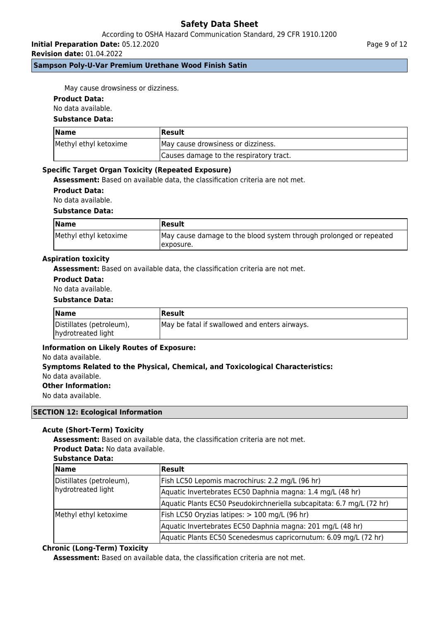### According to OSHA Hazard Communication Standard, 29 CFR 1910.1200

**Initial Preparation Date:** 05.12.2020

**Revision date:** 01.04.2022

### **Sampson Poly-U-Var Premium Urethane Wood Finish Satin**

May cause drowsiness or dizziness.

#### **Product Data:**

No data available.

### **Substance Data:**

| Name                  | Result                                  |  |
|-----------------------|-----------------------------------------|--|
| Methyl ethyl ketoxime | May cause drowsiness or dizziness.      |  |
|                       | Causes damage to the respiratory tract. |  |

#### **Specific Target Organ Toxicity (Repeated Exposure)**

**Assessment:** Based on available data, the classification criteria are not met.

**Product Data:**

No data available.

#### **Substance Data:**

| <b>Name</b>           | Result                                                                           |
|-----------------------|----------------------------------------------------------------------------------|
| Methyl ethyl ketoxime | May cause damage to the blood system through prolonged or repeated<br>Texposure. |

#### **Aspiration toxicity**

**Assessment:** Based on available data, the classification criteria are not met.

### **Product Data:**

No data available.

#### **Substance Data:**

| <b>Name</b>                                    | <b> Result</b>                                |
|------------------------------------------------|-----------------------------------------------|
| Distillates (petroleum),<br>hydrotreated light | May be fatal if swallowed and enters airways. |

#### **Information on Likely Routes of Exposure:**

#### No data available.

## **Symptoms Related to the Physical, Chemical, and Toxicological Characteristics:** No data available.

**Other Information:**

No data available.

#### **SECTION 12: Ecological Information**

### **Acute (Short-Term) Toxicity**

**Assessment:** Based on available data, the classification criteria are not met. **Product Data:** No data available.

#### **Substance Data:**

| <b>Name</b>                                    | <b>Result</b>                                                         |
|------------------------------------------------|-----------------------------------------------------------------------|
| Distillates (petroleum),<br>hydrotreated light | Fish LC50 Lepomis macrochirus: 2.2 mg/L (96 hr)                       |
|                                                | Aquatic Invertebrates EC50 Daphnia magna: 1.4 mg/L (48 hr)            |
|                                                | Aquatic Plants EC50 Pseudokirchneriella subcapitata: 6.7 mg/L (72 hr) |
| Methyl ethyl ketoxime                          | Fish LC50 Oryzias latipes: > 100 mg/L (96 hr)                         |
|                                                | Aquatic Invertebrates EC50 Daphnia magna: 201 mg/L (48 hr)            |
|                                                | Aquatic Plants EC50 Scenedesmus capricornutum: 6.09 mg/L (72 hr)      |

### **Chronic (Long-Term) Toxicity**

**Assessment:** Based on available data, the classification criteria are not met.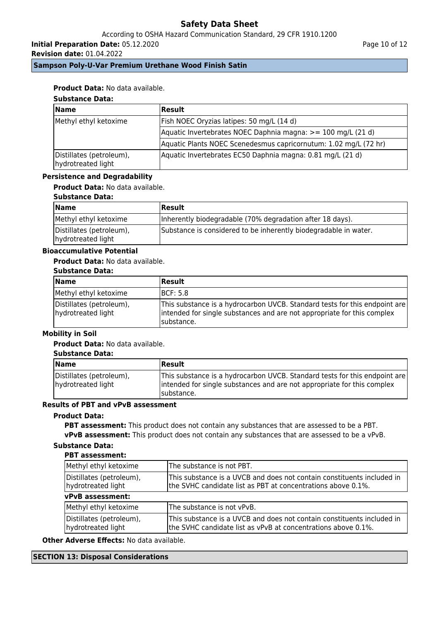According to OSHA Hazard Communication Standard, 29 CFR 1910.1200

**Initial Preparation Date:** 05.12.2020

**Revision date:** 01.04.2022

Page 10 of 12

**Sampson Poly-U-Var Premium Urethane Wood Finish Satin**

### **Product Data:** No data available.

# **Substance Data:**

| <b>Name</b>                                    | Result                                                           |
|------------------------------------------------|------------------------------------------------------------------|
| Methyl ethyl ketoxime                          | Fish NOEC Oryzias latipes: 50 mg/L (14 d)                        |
|                                                | Aquatic Invertebrates NOEC Daphnia magna: >= 100 mg/L (21 d)     |
|                                                | Aquatic Plants NOEC Scenedesmus capricornutum: 1.02 mg/L (72 hr) |
| Distillates (petroleum),<br>hydrotreated light | Aquatic Invertebrates EC50 Daphnia magna: 0.81 mg/L (21 d)       |

#### **Persistence and Degradability**

### **Product Data:** No data available.

#### **Substance Data:**

| <b>Name</b>                                    | Result                                                           |
|------------------------------------------------|------------------------------------------------------------------|
| Methyl ethyl ketoxime                          | Inherently biodegradable (70% degradation after 18 days).        |
| Distillates (petroleum),<br>hydrotreated light | Substance is considered to be inherently biodegradable in water. |

## **Bioaccumulative Potential**

### **Product Data:** No data available.

#### **Substance Data:**

| Name                                           | <b>Result</b>                                                                                                                                                        |
|------------------------------------------------|----------------------------------------------------------------------------------------------------------------------------------------------------------------------|
| Methyl ethyl ketoxime                          | <b>IBCF: 5.8</b>                                                                                                                                                     |
| Distillates (petroleum),<br>hydrotreated light | This substance is a hydrocarbon UVCB. Standard tests for this endpoint are<br>intended for single substances and are not appropriate for this complex<br>Isubstance. |

### **Mobility in Soil**

### **Product Data:** No data available.

#### **Substance Data:**

| <b>Name</b>                                    | <b>Result</b>                                                                                                                                                        |
|------------------------------------------------|----------------------------------------------------------------------------------------------------------------------------------------------------------------------|
| Distillates (petroleum),<br>hydrotreated light | This substance is a hydrocarbon UVCB. Standard tests for this endpoint are<br>intended for single substances and are not appropriate for this complex<br>Isubstance. |

## **Results of PBT and vPvB assessment**

### **Product Data:**

**PBT assessment:** This product does not contain any substances that are assessed to be a PBT. **vPvB assessment:** This product does not contain any substances that are assessed to be a vPvB.

## **Substance Data:**

### **PBT assessment:**

| Methyl ethyl ketoxime                          | The substance is not PBT.<br>This substance is a UVCB and does not contain constituents included in<br>the SVHC candidate list as PBT at concentrations above 0.1%. |  |  |
|------------------------------------------------|---------------------------------------------------------------------------------------------------------------------------------------------------------------------|--|--|
| Distillates (petroleum),<br>hydrotreated light |                                                                                                                                                                     |  |  |
| vPvB assessment:                               |                                                                                                                                                                     |  |  |
| Methyl ethyl ketoxime                          | The substance is not vPvB.                                                                                                                                          |  |  |
| Distillates (petroleum),<br>hydrotreated light | This substance is a UVCB and does not contain constituents included in<br>the SVHC candidate list as vPvB at concentrations above 0.1%.                             |  |  |

**Other Adverse Effects:** No data available.

### **SECTION 13: Disposal Considerations**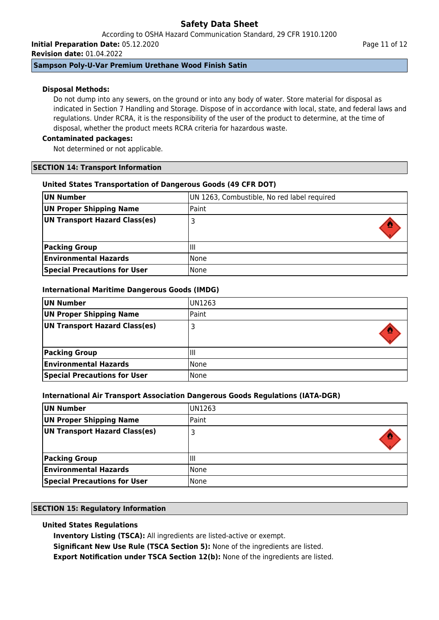According to OSHA Hazard Communication Standard, 29 CFR 1910.1200 **Initial Preparation Date:** 05.12.2020

**Revision date:** 01.04.2022

### **Sampson Poly-U-Var Premium Urethane Wood Finish Satin**

### **Disposal Methods:**

Do not dump into any sewers, on the ground or into any body of water. Store material for disposal as indicated in Section 7 Handling and Storage. Dispose of in accordance with local, state, and federal laws and regulations. Under RCRA, it is the responsibility of the user of the product to determine, at the time of disposal, whether the product meets RCRA criteria for hazardous waste.

### **Contaminated packages:**

Not determined or not applicable.

### **SECTION 14: Transport Information**

### **United States Transportation of Dangerous Goods (49 CFR DOT)**

| UN Number                           | UN 1263, Combustible, No red label required |
|-------------------------------------|---------------------------------------------|
| UN Proper Shipping Name             | Paint                                       |
| UN Transport Hazard Class(es)       | 3                                           |
| <b>Packing Group</b>                | ΠI                                          |
| <b>Environmental Hazards</b>        | <b>None</b>                                 |
| <b>Special Precautions for User</b> | None                                        |

### **International Maritime Dangerous Goods (IMDG)**

| UN Number                           | IUN1263 |
|-------------------------------------|---------|
| UN Proper Shipping Name             | Paint   |
| UN Transport Hazard Class(es)       | 3       |
|                                     |         |
| <b>Packing Group</b>                | Ш       |
| <b>Environmental Hazards</b>        | l None  |
| <b>Special Precautions for User</b> | l None  |

### **International Air Transport Association Dangerous Goods Regulations (IATA-DGR)**

| UN Number                           | UN1263 |
|-------------------------------------|--------|
| UN Proper Shipping Name             | Paint  |
| UN Transport Hazard Class(es)       |        |
| <b>Packing Group</b>                | Ш      |
|                                     |        |
| <b>Environmental Hazards</b>        | None   |
| <b>Special Precautions for User</b> | None   |

### **SECTION 15: Regulatory Information**

## **United States Regulations**

**Inventory Listing (TSCA):** All ingredients are listed-active or exempt.

**Significant New Use Rule (TSCA Section 5):** None of the ingredients are listed.

**Export Notification under TSCA Section 12(b):** None of the ingredients are listed.